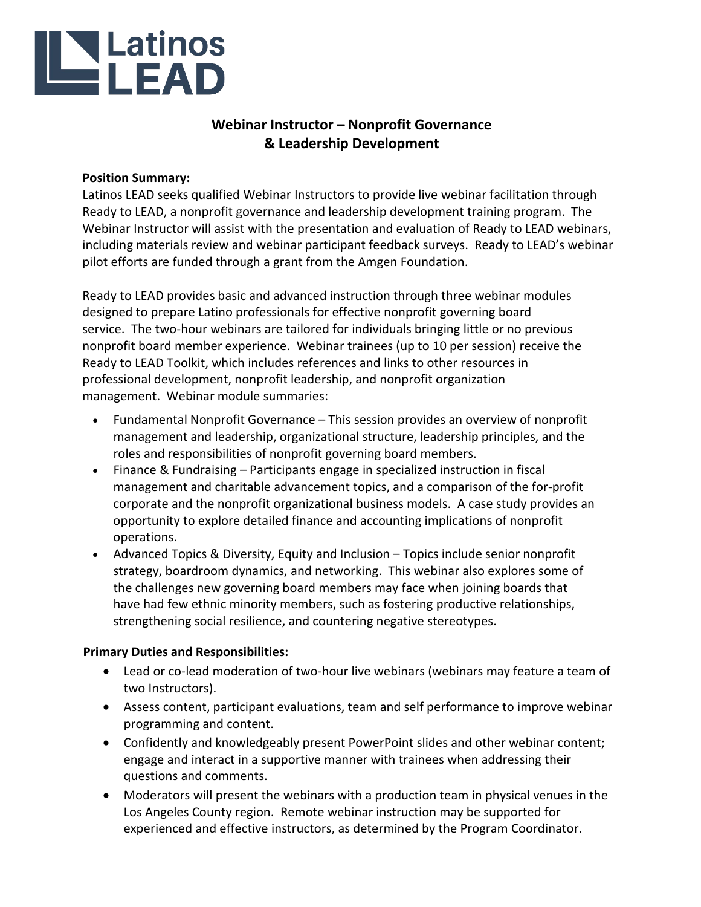# **LAREAD**

# **Webinar Instructor – Nonprofit Governance & Leadership Development**

# **Position Summary:**

Latinos LEAD seeks qualified Webinar Instructors to provide live webinar facilitation through Ready to LEAD, a nonprofit governance and leadership development training program. The Webinar Instructor will assist with the presentation and evaluation of Ready to LEAD webinars, including materials review and webinar participant feedback surveys. Ready to LEAD's webinar pilot efforts are funded through a grant from the Amgen Foundation.

Ready to LEAD provides basic and advanced instruction through three webinar modules designed to prepare Latino professionals for effective nonprofit governing board service. The two-hour webinars are tailored for individuals bringing little or no previous nonprofit board member experience. Webinar trainees (up to 10 per session) receive the Ready to LEAD Toolkit, which includes references and links to other resources in professional development, nonprofit leadership, and nonprofit organization management. Webinar module summaries:

- Fundamental Nonprofit Governance This session provides an overview of nonprofit management and leadership, organizational structure, leadership principles, and the roles and responsibilities of nonprofit governing board members.
- Finance & Fundraising Participants engage in specialized instruction in fiscal management and charitable advancement topics, and a comparison of the for-profit corporate and the nonprofit organizational business models. A case study provides an opportunity to explore detailed finance and accounting implications of nonprofit operations.
- Advanced Topics & Diversity, Equity and Inclusion Topics include senior nonprofit strategy, boardroom dynamics, and networking. This webinar also explores some of the challenges new governing board members may face when joining boards that have had few ethnic minority members, such as fostering productive relationships, strengthening social resilience, and countering negative stereotypes.

# **Primary Duties and Responsibilities:**

- Lead or co-lead moderation of two-hour live webinars (webinars may feature a team of two Instructors).
- Assess content, participant evaluations, team and self performance to improve webinar programming and content.
- Confidently and knowledgeably present PowerPoint slides and other webinar content; engage and interact in a supportive manner with trainees when addressing their questions and comments.
- Moderators will present the webinars with a production team in physical venues in the Los Angeles County region. Remote webinar instruction may be supported for experienced and effective instructors, as determined by the Program Coordinator.